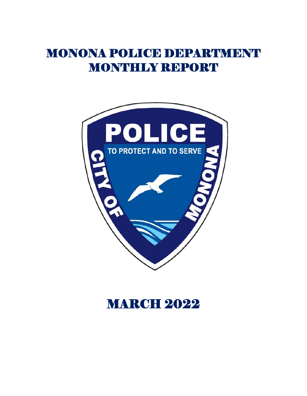# MONONA POLICE DEPARTMENT MONTHLY REPORT



# **MARCH 2022**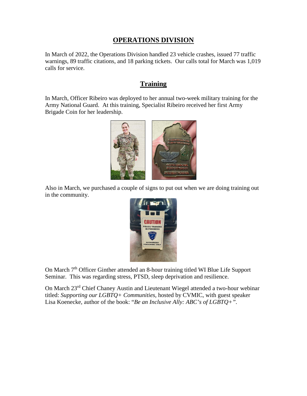## **OPERATIONS DIVISION**

In March of 2022, the Operations Division handled 23 vehicle crashes, issued 77 traffic warnings, 89 traffic citations, and 18 parking tickets. Our calls total for March was 1,019 calls for service.

## **Training**

In March, Officer Ribeiro was deployed to her annual two-week military training for the Army National Guard. At this training, Specialist Ribeiro received her first Army Brigade Coin for her leadership.



Also in March, we purchased a couple of signs to put out when we are doing training out in the community.



On March 7<sup>th</sup> Officer Ginther attended an 8-hour training titled WI Blue Life Support Seminar. This was regarding stress, PTSD, sleep deprivation and resilience.

On March 23rd Chief Chaney Austin and Lieutenant Wiegel attended a two-hour webinar titled: *Supporting our LGBTQ+ Communities,* hosted by CVMIC, with guest speaker Lisa Koenecke, author of the book: "*Be an Inclusive Ally: ABC's of LGBTQ+".*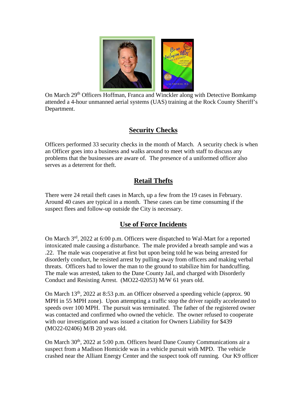

On March 29<sup>th</sup> Officers Hoffman, Franca and Winckler along with Detective Bomkamp attended a 4-hour unmanned aerial systems (UAS) training at the Rock County Sheriff's Department.

# **Security Checks**

Officers performed 33 security checks in the month of March. A security check is when an Officer goes into a business and walks around to meet with staff to discuss any problems that the businesses are aware of. The presence of a uniformed officer also serves as a deterrent for theft.

# **Retail Thefts**

There were 24 retail theft cases in March, up a few from the 19 cases in February. Around 40 cases are typical in a month. These cases can be time consuming if the suspect flees and follow-up outside the City is necessary.

# **Use of Force Incidents**

On March 3<sup>rd</sup>, 2022 at 6:00 p.m. Officers were dispatched to Wal-Mart for a reported intoxicated male causing a disturbance. The male provided a breath sample and was a .22. The male was cooperative at first but upon being told he was being arrested for disorderly conduct, he resisted arrest by pulling away from officers and making verbal threats. Officers had to lower the man to the ground to stabilize him for handcuffing. The male was arrested, taken to the Dane County Jail, and charged with Disorderly Conduct and Resisting Arrest. (MO22-02053) M/W 61 years old.

On March 13<sup>th</sup>, 2022 at 8:53 p.m. an Officer observed a speeding vehicle (approx. 90 MPH in 55 MPH zone). Upon attempting a traffic stop the driver rapidly accelerated to speeds over 100 MPH. The pursuit was terminated. The father of the registered owner was contacted and confirmed who owned the vehicle. The owner refused to cooperate with our investigation and was issued a citation for Owners Liability for \$439 (MO22-02406) M/B 20 years old.

On March  $30<sup>th</sup>$ ,  $2022$  at  $5:00$  p.m. Officers heard Dane County Communications air a suspect from a Madison Homicide was in a vehicle pursuit with MPD. The vehicle crashed near the Alliant Energy Center and the suspect took off running. Our K9 officer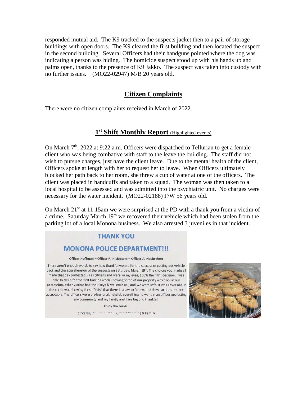responded mutual aid. The K9 tracked to the suspects jacket then to a pair of storage buildings with open doors. The K9 cleared the first building and then located the suspect in the second building. Several Officers had their handguns pointed where the dog was indicating a person was hiding. The homicide suspect stood up with his hands up and palms open, thanks to the presence of K9 Jakko. The suspect was taken into custody with no further issues. (MO22-02947) M/B 20 years old.

## **Citizen Complaints**

There were no citizen complaints received in March of 2022.

## **1st Shift Monthly Report** (Highlighted events)

On March  $7<sup>th</sup>$ , 2022 at 9:22 a.m. Officers were dispatched to Tellurian to get a female client who was being combative with staff to the leave the building. The staff did not wish to pursue charges, just have the client leave. Due to the mental health of the client, Officers spoke at length with her to request her to leave. When Officers ultimately blocked her path back to her room, she threw a cup of water at one of the officers. The client was placed in handcuffs and taken to a squad. The woman was then taken to a local hospital to be assessed and was admitted into the psychiatric unit. No charges were necessary for the water incident. (MO22-02188) F/W 56 years old.

On March  $21<sup>st</sup>$  at 11:15am we were surprised at the PD with a thank you from a victim of a crime. Saturday March 19<sup>th</sup> we recovered their vehicle which had been stolen from the parking lot of a local Monona business. We also arrested 3 juveniles in that incident.

#### **THANK YOU**

#### **MONONA POLICE DEPARTMENT!!!**

Officer Hoffman - Officer R. Hickmann - Officer A. Nachreiner

There aren't enough words to say how thankful we are for the success of getting our vehicle back and the apprehension of the suspects on Saturday, March 19th. The choices you made all made that day protected us as citizens and were, in my eyes, 100% the right decision. I was able to sleep for the first time all week knowing some of our property was back in our possession, other victims had their keys & wallets back, and we were safe. It was never about the car; it was showing these "kids" that there is a law to follow, and these actions are not acceptable. The officers were professional, helpful, everything I'd want in an officer protecting

my community and my family and I are beyond thankful.

Enjoy the treats! 

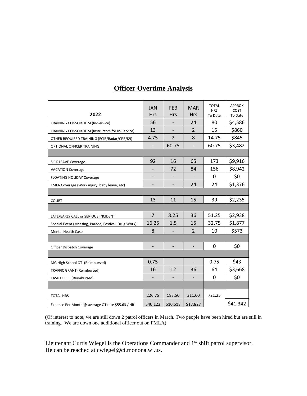| 2022                                                 | <b>JAN</b><br><b>Hrs</b> | <b>FEB</b><br><b>Hrs</b> | <b>MAR</b><br><b>Hrs</b> | <b>TOTAL</b><br><b>HRS</b><br>To Date | <b>APPROX</b><br>COST<br>To Date |
|------------------------------------------------------|--------------------------|--------------------------|--------------------------|---------------------------------------|----------------------------------|
| <b>TRAINING CONSORTIUM (In-Service)</b>              | 56                       |                          | 24                       | 80                                    | \$4,586                          |
| TRAINING CONSORTIUM (Instructors for In-Service)     | 13                       |                          | $\overline{2}$           | 15                                    | \$860                            |
| OTHER REQUIRED TRAINING (ECIR/Radar/CPR/K9)          | 4.75                     | $\overline{2}$           | 8                        | 14.75                                 | \$845                            |
| OPTIONAL OFFICER TRAINING                            | $\overline{\phantom{a}}$ | 60.75                    | $\overline{\phantom{a}}$ | 60.75                                 | \$3,482                          |
|                                                      |                          |                          |                          |                                       |                                  |
| <b>SICK LEAVE Coverage</b>                           | 92                       | 16                       | 65                       | 173                                   | \$9,916                          |
| <b>VACATION Coverage</b>                             |                          | 72                       | 84                       | 156                                   | \$8,942                          |
| <b>FLOATING HOLIDAY Coverage</b>                     |                          |                          |                          | 0                                     | \$0                              |
| FMLA Coverage (Work injury, baby leave, etc)         | $\overline{\phantom{0}}$ |                          | 24                       | 24                                    | \$1,376                          |
|                                                      |                          |                          |                          |                                       |                                  |
| <b>COURT</b>                                         | 13                       | 11                       | 15                       | 39                                    | \$2,235                          |
|                                                      |                          |                          |                          |                                       |                                  |
| LATE/EARLY CALL or SERIOUS INCIDENT                  | $\overline{7}$           | 8.25                     | 36                       | 51.25                                 | \$2,938                          |
| Special Event (Meeting, Parade, Festival, Drug Work) | 16.25                    | 1.5                      | 15                       | 32.75                                 | \$1,877                          |
| <b>Mental Health Case</b>                            | 8                        |                          | $\overline{2}$           | 10                                    | \$573                            |
|                                                      |                          |                          |                          |                                       |                                  |
| Officer Dispatch Coverage                            |                          |                          |                          | 0                                     | \$0                              |
|                                                      |                          |                          |                          |                                       |                                  |
| MG High School OT (Reimbursed)                       | 0.75                     |                          |                          | 0.75                                  | \$43                             |
| TRAFFIC GRANT (Reimbursed)                           | 16                       | 12                       | 36                       | 64                                    | \$3,668                          |
| TASK FORCE (Reimbursed)                              |                          |                          |                          | 0                                     | \$0                              |
|                                                      |                          |                          |                          |                                       |                                  |
| <b>TOTAL HRS</b>                                     | 226.75                   | 183.50                   | 311.00                   | 721.25                                |                                  |
| Expense Per Month @ average OT rate \$55.63 / HR     | \$40,123                 | \$10,518                 | \$17,827                 |                                       | \$41,342                         |

# **Officer Overtime Analysis**

(Of interest to note, we are still down 2 patrol officers in March. Two people have been hired but are still in training. We are down one additional officer out on FMLA).

Lieutenant Curtis Wiegel is the Operations Commander and 1<sup>st</sup> shift patrol supervisor. He can be reached at [cwiegel@ci.monona.wi.us.](mailto:cwiegel@ci.monona.wi.us)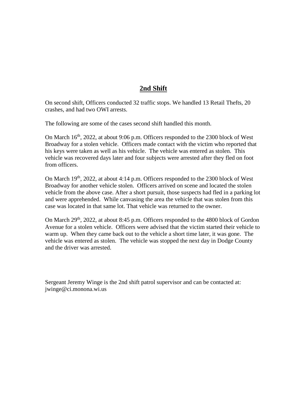## **2nd Shift**

On second shift, Officers conducted 32 traffic stops. We handled 13 Retail Thefts, 20 crashes, and had two OWI arrests.

The following are some of the cases second shift handled this month.

On March  $16<sup>th</sup>$ , 2022, at about 9:06 p.m. Officers responded to the 2300 block of West Broadway for a stolen vehicle. Officers made contact with the victim who reported that his keys were taken as well as his vehicle. The vehicle was entered as stolen. This vehicle was recovered days later and four subjects were arrested after they fled on foot from officers.

On March  $19<sup>th</sup>$ , 2022, at about 4:14 p.m. Officers responded to the 2300 block of West Broadway for another vehicle stolen. Officers arrived on scene and located the stolen vehicle from the above case. After a short pursuit, those suspects had fled in a parking lot and were apprehended. While canvasing the area the vehicle that was stolen from this case was located in that same lot. That vehicle was returned to the owner.

On March 29<sup>th</sup>, 2022, at about 8:45 p.m. Officers responded to the 4800 block of Gordon Avenue for a stolen vehicle. Officers were advised that the victim started their vehicle to warm up. When they came back out to the vehicle a short time later, it was gone. The vehicle was entered as stolen. The vehicle was stopped the next day in Dodge County and the driver was arrested.

Sergeant Jeremy Winge is the 2nd shift patrol supervisor and can be contacted at: jwinge@ci.monona.wi.us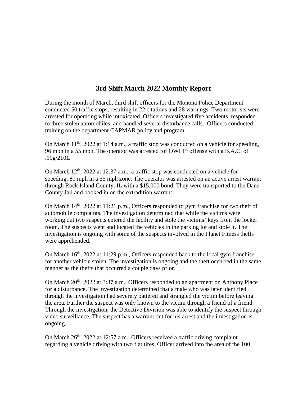# **3rd Shift March 2022 Monthly Report**

During the month of March, third shift officers for the Monona Police Department conducted 50 traffic stops, resulting in 22 citations and 28 warnings. Two motorists were arrested for operating while intoxicated. Officers investigated five accidents, responded to three stolen automobiles, and handled several disturbance calls. Officers conducted training on the department CAPMAR policy and program.

On March  $11<sup>th</sup>$ , 2022 at 1:14 a.m., a traffic stop was conducted on a vehicle for speeding, 96 mph in a 55 mph. The operator was arrested for OWI  $1<sup>st</sup>$  offense with a B.A.C. of .19g/210L

On March  $12<sup>th</sup>$ ,  $2022$  at  $12:37$  a.m., a traffic stop was conducted on a vehicle for speeding, 80 mph in a 55 mph zone. The operator was arrested on an active arrest warrant through Rock Island County, IL with a \$15,000 bond. They were transported to the Dane County Jail and booked in on the extradition warrant.

On March  $14<sup>th</sup>$ , 2022 at 11:21 p.m., Officers responded to gym franchise for two theft of automobile complaints. The investigation determined that while the victims were working out two suspects entered the facility and stole the victims' keys from the locker room. The suspects went and located the vehicles in the parking lot and stole it. The investigation is ongoing with some of the suspects involved in the Planet Fitness thefts were apprehended.

On March  $16<sup>th</sup>$ , 2022 at 11:29 p.m., Officers responded back to the local gym franchise for another vehicle stolen. The investigation is ongoing and the theft occurred in the same manner as the thefts that occurred a couple days prior.

On March  $20<sup>th</sup>$ ,  $2022$  at 3:37 a.m., Officers responded to an apartment on Anthony Place for a disturbance. The investigation determined that a male who was later identified through the investigation had severely battered and strangled the victim before leaving the area. Further the suspect was only known to the victim through a friend of a friend. Through the investigation, the Detective Division was able to identify the suspect through video surveillance. The suspect has a warrant out for his arrest and the investigation is ongoing.

On March  $26<sup>th</sup>$ , 2022 at 12:57 a.m., Officers received a traffic driving complaint regarding a vehicle driving with two flat tires. Officer arrived into the area of the 100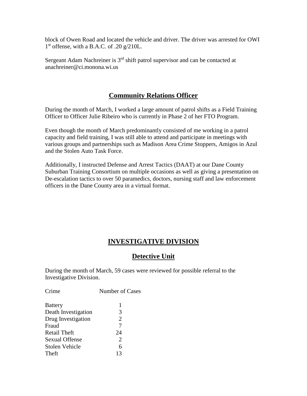block of Owen Road and located the vehicle and driver. The driver was arrested for OWI  $1<sup>st</sup>$  offense, with a B.A.C. of .20 g/210L.

Sergeant Adam Nachreiner is 3<sup>rd</sup> shift patrol supervisor and can be contacted at anachreiner@ci.monona.wi.us

## **Community Relations Officer**

During the month of March, I worked a large amount of patrol shifts as a Field Training Officer to Officer Julie Ribeiro who is currently in Phase 2 of her FTO Program.

Even though the month of March predominantly consisted of me working in a patrol capacity and field training, I was still able to attend and participate in meetings with various groups and partnerships such as Madison Area Crime Stoppers, Amigos in Azul and the Stolen Auto Task Force.

Additionally, I instructed Defense and Arrest Tactics (DAAT) at our Dane County Suburban Training Consortium on multiple occasions as well as giving a presentation on De-escalation tactics to over 50 paramedics, doctors, nursing staff and law enforcement officers in the Dane County area in a virtual format.

## **INVESTIGATIVE DIVISION**

## **Detective Unit**

During the month of March, 59 cases were reviewed for possible referral to the Investigative Division.

| Crime                 | Number of Cases |
|-----------------------|-----------------|
| <b>Battery</b>        | 1               |
| Death Investigation   | 3               |
| Drug Investigation    | $\overline{2}$  |
| Fraud                 | 7               |
| Retail Theft          | 24              |
| <b>Sexual Offense</b> | $\overline{2}$  |
| Stolen Vehicle        | 6               |
| Theft                 | 13              |
|                       |                 |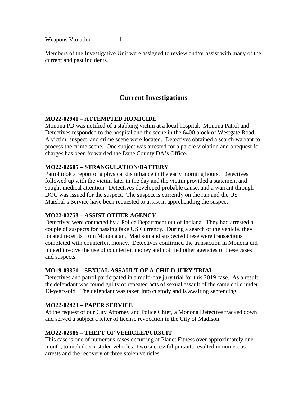Weapons Violation 1

Members of the Investigative Unit were assigned to review and/or assist with many of the current and past incidents.

## **Current Investigations**

## **MO22-02941 – ATTEMPTED HOMICIDE**

Monona PD was notified of a stabbing victim at a local hospital. Monona Patrol and Detectives responded to the hospital and the scene in the 6400 block of Westgate Road. A victim, suspect, and crime scene were located. Detectives obtained a search warrant to process the crime scene. One subject was arrested for a parole violation and a request for charges has been forwarded the Dane County DA's Office.

#### **MO22-02605 – STRANGULATION/BATTERY**

Patrol took a report of a physical disturbance in the early morning hours. Detectives followed up with the victim later in the day and the victim provided a statement and sought medical attention. Detectives developed probable cause, and a warrant through DOC was issued for the suspect. The suspect is currently on the run and the US Marshal's Service have been requested to assist in apprehending the suspect.

#### **MO22-02758 – ASSIST OTHER AGENCY**

Detectives were contacted by a Police Department out of Indiana. They had arrested a couple of suspects for passing fake US Currency. During a search of the vehicle, they located receipts from Monona and Madison and suspected these were transactions completed with counterfeit money. Detectives confirmed the transaction in Monona did indeed involve the use of counterfeit money and notified other agencies of these cases and suspects.

#### **MO19-09371 – SEXUAL ASSAULT OF A CHILD JURY TRIAL**

Detectives and patrol participated in a multi-day jury trial for this 2019 case. As a result, the defendant was found guilty of repeated acts of sexual assault of the same child under 13-years-old. The defendant was taken into custody and is awaiting sentencing.

#### **MO22-02423 – PAPER SERVICE**

At the request of our City Attorney and Police Chief, a Monona Detective tracked down and served a subject a letter of license revocation in the City of Madison.

#### **MO22-02586 – THEFT OF VEHICLE/PURSUIT**

This case is one of numerous cases occurring at Planet Fitness over approximately one month, to include six stolen vehicles. Two successful pursuits resulted in numerous arrests and the recovery of three stolen vehicles.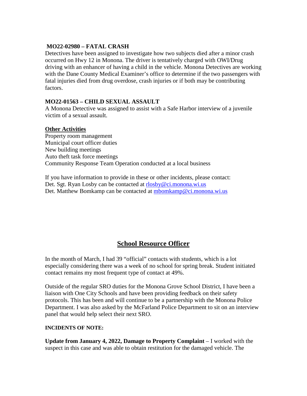## **MO22-02980 – FATAL CRASH**

Detectives have been assigned to investigate how two subjects died after a minor crash occurred on Hwy 12 in Monona. The driver is tentatively charged with OWI/Drug driving with an enhancer of having a child in the vehicle. Monona Detectives are working with the Dane County Medical Examiner's office to determine if the two passengers with fatal injuries died from drug overdose, crash injuries or if both may be contributing factors.

## **MO22-01563 – CHILD SEXUAL ASSAULT**

A Monona Detective was assigned to assist with a Safe Harbor interview of a juvenile victim of a sexual assault.

## **Other Activities**

Property room management Municipal court officer duties New building meetings Auto theft task force meetings Community Response Team Operation conducted at a local business

If you have information to provide in these or other incidents, please contact: Det. Sgt. Ryan Losby can be contacted at [rlosby@ci.monona.wi.us](mailto:rlosby@ci.monona.wi.us) Det. Matthew Bomkamp can be contacted at [mbomkamp@ci.monona.wi.us](mailto:mbomkamp@ci.monona.wi.us)

## **School Resource Officer**

In the month of March, I had 39 "official" contacts with students, which is a lot especially considering there was a week of no school for spring break. Student initiated contact remains my most frequent type of contact at 49%.

Outside of the regular SRO duties for the Monona Grove School District, I have been a liaison with One City Schools and have been providing feedback on their safety protocols. This has been and will continue to be a partnership with the Monona Police Department. I was also asked by the McFarland Police Department to sit on an interview panel that would help select their next SRO.

#### **INCIDENTS OF NOTE:**

**Update from January 4, 2022, Damage to Property Complaint** – I worked with the suspect in this case and was able to obtain restitution for the damaged vehicle. The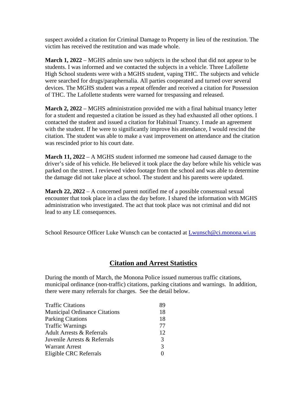suspect avoided a citation for Criminal Damage to Property in lieu of the restitution. The victim has received the restitution and was made whole.

**March 1, 2022** – MGHS admin saw two subjects in the school that did not appear to be students. I was informed and we contacted the subjects in a vehicle. Three Lafollette High School students were with a MGHS student, vaping THC. The subjects and vehicle were searched for drugs/paraphernalia. All parties cooperated and turned over several devices. The MGHS student was a repeat offender and received a citation for Possession of THC. The Lafollette students were warned for trespassing and released.

**March 2, 2022** – MGHS administration provided me with a final habitual truancy letter for a student and requested a citation be issued as they had exhausted all other options. I contacted the student and issued a citation for Habitual Truancy. I made an agreement with the student. If he were to significantly improve his attendance, I would rescind the citation. The student was able to make a vast improvement on attendance and the citation was rescinded prior to his court date.

**March 11, 2022** – A MGHS student informed me someone had caused damage to the driver's side of his vehicle. He believed it took place the day before while his vehicle was parked on the street. I reviewed video footage from the school and was able to determine the damage did not take place at school. The student and his parents were updated.

**March 22, 2022** – A concerned parent notified me of a possible consensual sexual encounter that took place in a class the day before. I shared the information with MGHS administration who investigated. The act that took place was not criminal and did not lead to any LE consequences.

School Resource Officer Luke Wunsch can be contacted at [Lwunsch@ci.monona.wi.us](mailto:Lwunsch@ci.monona.wi.us)

## **Citation and Arrest Statistics**

During the month of March, the Monona Police issued numerous traffic citations, municipal ordinance (non-traffic) citations, parking citations and warnings. In addition, there were many referrals for charges. See the detail below.

| <b>Traffic Citations</b>             | 89            |
|--------------------------------------|---------------|
| <b>Municipal Ordinance Citations</b> | 18            |
| <b>Parking Citations</b>             | 18            |
| <b>Traffic Warnings</b>              | 77            |
| <b>Adult Arrests &amp; Referrals</b> | 12            |
| Juvenile Arrests & Referrals         | 3             |
| <b>Warrant Arrest</b>                | $\mathcal{F}$ |
| Eligible CRC Referrals               |               |
|                                      |               |